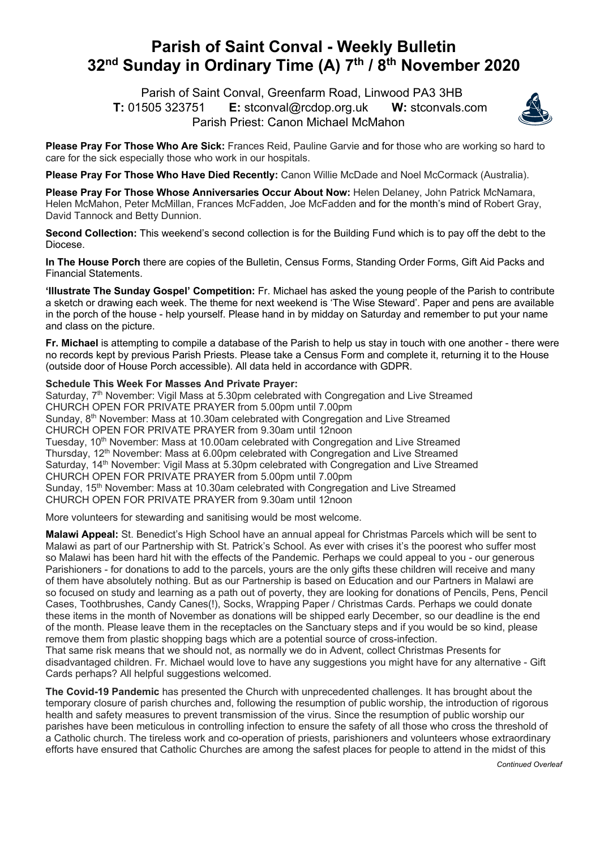## **Parish of Saint Conval - Weekly Bulletin 32nd Sunday in Ordinary Time (A) 7th / 8th November 2020**

 Parish of Saint Conval, Greenfarm Road, Linwood PA3 3HB **T:** 01505 323751 **E:** stconval@rcdop.org.uk **W:** stconvals.com Parish Priest: Canon Michael McMahon



**Please Pray For Those Who Are Sick:** Frances Reid, Pauline Garvie and for those who are working so hard to care for the sick especially those who work in our hospitals.

**Please Pray For Those Who Have Died Recently:** Canon Willie McDade and Noel McCormack (Australia).

**Please Pray For Those Whose Anniversaries Occur About Now:** Helen Delaney, John Patrick McNamara, Helen McMahon, Peter McMillan, Frances McFadden, Joe McFadden and for the month's mind of Robert Gray, David Tannock and Betty Dunnion.

**Second Collection:** This weekend's second collection is for the Building Fund which is to pay off the debt to the Diocese.

**In The House Porch** there are copies of the Bulletin, Census Forms, Standing Order Forms, Gift Aid Packs and Financial Statements.

**'Illustrate The Sunday Gospel' Competition:** Fr. Michael has asked the young people of the Parish to contribute a sketch or drawing each week. The theme for next weekend is 'The Wise Steward'. Paper and pens are available in the porch of the house - help yourself. Please hand in by midday on Saturday and remember to put your name and class on the picture.

**Fr. Michael** is attempting to compile a database of the Parish to help us stay in touch with one another - there were no records kept by previous Parish Priests. Please take a Census Form and complete it, returning it to the House (outside door of House Porch accessible). All data held in accordance with GDPR.

## **Schedule This Week For Masses And Private Prayer:**

Saturday, 7<sup>th</sup> November: Vigil Mass at 5.30pm celebrated with Congregation and Live Streamed CHURCH OPEN FOR PRIVATE PRAYER from 5.00pm until 7.00pm Sunday, 8<sup>th</sup> November: Mass at 10.30am celebrated with Congregation and Live Streamed CHURCH OPEN FOR PRIVATE PRAYER from 9.30am until 12noon Tuesday, 10<sup>th</sup> November: Mass at 10.00am celebrated with Congregation and Live Streamed Thursday, 12<sup>th</sup> November: Mass at 6.00pm celebrated with Congregation and Live Streamed Saturday, 14<sup>th</sup> November: Vigil Mass at 5.30pm celebrated with Congregation and Live Streamed CHURCH OPEN FOR PRIVATE PRAYER from 5.00pm until 7.00pm Sunday, 15<sup>th</sup> November: Mass at 10.30am celebrated with Congregation and Live Streamed CHURCH OPEN FOR PRIVATE PRAYER from 9.30am until 12noon

More volunteers for stewarding and sanitising would be most welcome.

**Malawi Appeal:** St. Benedict's High School have an annual appeal for Christmas Parcels which will be sent to Malawi as part of our Partnership with St. Patrick's School. As ever with crises it's the poorest who suffer most so Malawi has been hard hit with the effects of the Pandemic. Perhaps we could appeal to you - our generous Parishioners - for donations to add to the parcels, yours are the only gifts these children will receive and many of them have absolutely nothing. But as our Partnership is based on Education and our Partners in Malawi are so focused on study and learning as a path out of poverty, they are looking for donations of Pencils, Pens, Pencil Cases, Toothbrushes, Candy Canes(!), Socks, Wrapping Paper / Christmas Cards. Perhaps we could donate these items in the month of November as donations will be shipped early December, so our deadline is the end of the month. Please leave them in the receptacles on the Sanctuary steps and if you would be so kind, please remove them from plastic shopping bags which are a potential source of cross-infection.

That same risk means that we should not, as normally we do in Advent, collect Christmas Presents for disadvantaged children. Fr. Michael would love to have any suggestions you might have for any alternative - Gift Cards perhaps? All helpful suggestions welcomed.

**The Covid-19 Pandemic** has presented the Church with unprecedented challenges. It has brought about the temporary closure of parish churches and, following the resumption of public worship, the introduction of rigorous health and safety measures to prevent transmission of the virus. Since the resumption of public worship our parishes have been meticulous in controlling infection to ensure the safety of all those who cross the threshold of a Catholic church. The tireless work and co-operation of priests, parishioners and volunteers whose extraordinary efforts have ensured that Catholic Churches are among the safest places for people to attend in the midst of this